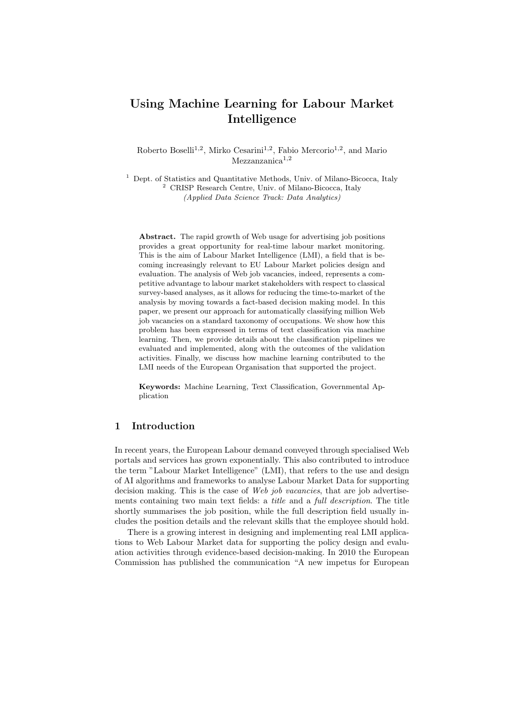# Using Machine Learning for Labour Market Intelligence

Roberto Boselli<sup>1,2</sup>, Mirko Cesarini<sup>1,2</sup>, Fabio Mercorio<sup>1,2</sup>, and Mario  $Mezzanzanica<sup>1,2</sup>$ 

<sup>1</sup> Dept. of Statistics and Quantitative Methods, Univ. of Milano-Bicocca, Italy <sup>2</sup> CRISP Research Centre, Univ. of Milano-Bicocca, Italy (Applied Data Science Track: Data Analytics)

Abstract. The rapid growth of Web usage for advertising job positions provides a great opportunity for real-time labour market monitoring. This is the aim of Labour Market Intelligence (LMI), a field that is becoming increasingly relevant to EU Labour Market policies design and evaluation. The analysis of Web job vacancies, indeed, represents a competitive advantage to labour market stakeholders with respect to classical survey-based analyses, as it allows for reducing the time-to-market of the analysis by moving towards a fact-based decision making model. In this paper, we present our approach for automatically classifying million Web job vacancies on a standard taxonomy of occupations. We show how this problem has been expressed in terms of text classification via machine learning. Then, we provide details about the classification pipelines we evaluated and implemented, along with the outcomes of the validation activities. Finally, we discuss how machine learning contributed to the LMI needs of the European Organisation that supported the project.

Keywords: Machine Learning, Text Classification, Governmental Application

## 1 Introduction

In recent years, the European Labour demand conveyed through specialised Web portals and services has grown exponentially. This also contributed to introduce the term "Labour Market Intelligence" (LMI), that refers to the use and design of AI algorithms and frameworks to analyse Labour Market Data for supporting decision making. This is the case of Web job vacancies, that are job advertisements containing two main text fields: a *title* and a *full description*. The title shortly summarises the job position, while the full description field usually includes the position details and the relevant skills that the employee should hold.

There is a growing interest in designing and implementing real LMI applications to Web Labour Market data for supporting the policy design and evaluation activities through evidence-based decision-making. In 2010 the European Commission has published the communication "A new impetus for European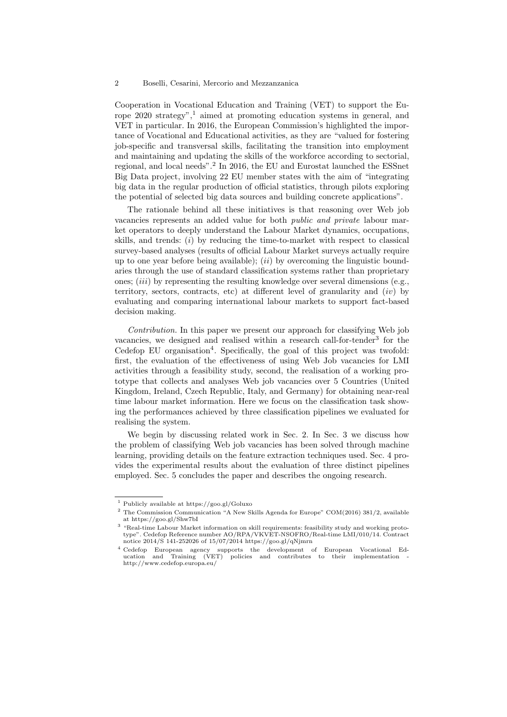Cooperation in Vocational Education and Training (VET) to support the Europe  $2020$  strategy",<sup>1</sup> aimed at promoting education systems in general, and VET in particular. In 2016, the European Commission's highlighted the importance of Vocational and Educational activities, as they are "valued for fostering job-specific and transversal skills, facilitating the transition into employment and maintaining and updating the skills of the workforce according to sectorial, regional, and local needs".<sup>2</sup> In 2016, the EU and Eurostat launched the ESSnet Big Data project, involving 22 EU member states with the aim of "integrating big data in the regular production of official statistics, through pilots exploring the potential of selected big data sources and building concrete applications".

The rationale behind all these initiatives is that reasoning over Web job vacancies represents an added value for both public and private labour market operators to deeply understand the Labour Market dynamics, occupations, skills, and trends:  $(i)$  by reducing the time-to-market with respect to classical survey-based analyses (results of official Labour Market surveys actually require up to one year before being available);  $(ii)$  by overcoming the linguistic boundaries through the use of standard classification systems rather than proprietary ones;  $(iii)$  by representing the resulting knowledge over several dimensions (e.g., territory, sectors, contracts, etc) at different level of granularity and  $(iv)$  by evaluating and comparing international labour markets to support fact-based decision making.

Contribution. In this paper we present our approach for classifying Web job vacancies, we designed and realised within a research call-for-tender<sup>3</sup> for the Cedefop EU organisation<sup>4</sup>. Specifically, the goal of this project was twofold: first, the evaluation of the effectiveness of using Web Job vacancies for LMI activities through a feasibility study, second, the realisation of a working prototype that collects and analyses Web job vacancies over 5 Countries (United Kingdom, Ireland, Czech Republic, Italy, and Germany) for obtaining near-real time labour market information. Here we focus on the classification task showing the performances achieved by three classification pipelines we evaluated for realising the system.

We begin by discussing related work in Sec. 2. In Sec. 3 we discuss how the problem of classifying Web job vacancies has been solved through machine learning, providing details on the feature extraction techniques used. Sec. 4 provides the experimental results about the evaluation of three distinct pipelines employed. Sec. 5 concludes the paper and describes the ongoing research.

 $^{\rm 1}$  Publicly available at https://goo.gl/Goluxo

 $2$  The Commission Communication "A New Skills Agenda for Europe" COM(2016) 381/2, available at https://goo.gl/Shw7bI

<sup>&</sup>lt;sup>3</sup> "Real-time Labour Market information on skill requirements: feasibility study and working prototype". Cedefop Reference number AO/RPA/VKVET-NSOFRO/Real-time LMI/010/14. Contract notice 2014/S 141-252026 of 15/07/2014 https://goo.gl/qNjmrn

<sup>4</sup> Cedefop European agency supports the development of European Vocational Ed-ucation and Training (VET) policies and contributes to their implementation http://www.cedefop.europa.eu/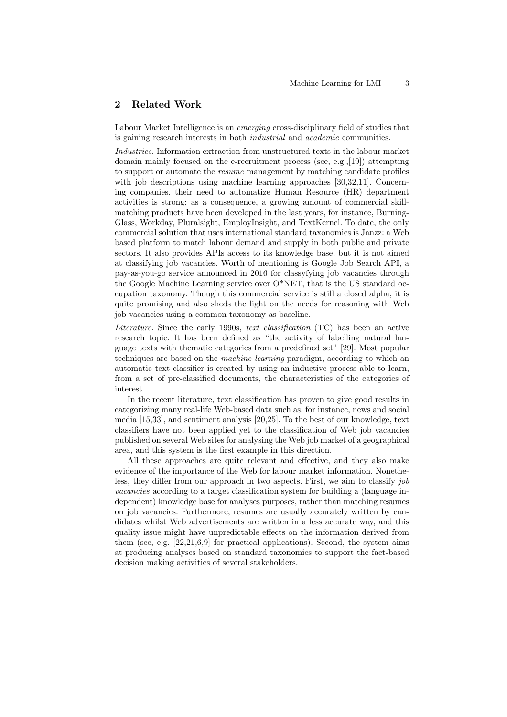## 2 Related Work

Labour Market Intelligence is an emerging cross-disciplinary field of studies that is gaining research interests in both industrial and academic communities.

Industries. Information extraction from unstructured texts in the labour market domain mainly focused on the e-recruitment process (see, e.g.,[19]) attempting to support or automate the resume management by matching candidate profiles with job descriptions using machine learning approaches [30,32,11]. Concerning companies, their need to automatize Human Resource (HR) department activities is strong; as a consequence, a growing amount of commercial skillmatching products have been developed in the last years, for instance, Burning-Glass, Workday, Pluralsight, EmployInsight, and TextKernel. To date, the only commercial solution that uses international standard taxonomies is Janzz: a Web based platform to match labour demand and supply in both public and private sectors. It also provides APIs access to its knowledge base, but it is not aimed at classifying job vacancies. Worth of mentioning is Google Job Search API, a pay-as-you-go service announced in 2016 for classyfying job vacancies through the Google Machine Learning service over  $O^*NET$ , that is the US standard occupation taxonomy. Though this commercial service is still a closed alpha, it is quite promising and also sheds the light on the needs for reasoning with Web job vacancies using a common taxonomy as baseline.

Literature. Since the early 1990s, text classification (TC) has been an active research topic. It has been defined as "the activity of labelling natural language texts with thematic categories from a predefined set" [29]. Most popular techniques are based on the machine learning paradigm, according to which an automatic text classifier is created by using an inductive process able to learn, from a set of pre-classified documents, the characteristics of the categories of interest.

In the recent literature, text classification has proven to give good results in categorizing many real-life Web-based data such as, for instance, news and social media [15,33], and sentiment analysis [20,25]. To the best of our knowledge, text classifiers have not been applied yet to the classification of Web job vacancies published on several Web sites for analysing the Web job market of a geographical area, and this system is the first example in this direction.

All these approaches are quite relevant and effective, and they also make evidence of the importance of the Web for labour market information. Nonetheless, they differ from our approach in two aspects. First, we aim to classify job vacancies according to a target classification system for building a (language independent) knowledge base for analyses purposes, rather than matching resumes on job vacancies. Furthermore, resumes are usually accurately written by candidates whilst Web advertisements are written in a less accurate way, and this quality issue might have unpredictable effects on the information derived from them (see, e.g.  $[22,21,6,9]$  for practical applications). Second, the system aims at producing analyses based on standard taxonomies to support the fact-based decision making activities of several stakeholders.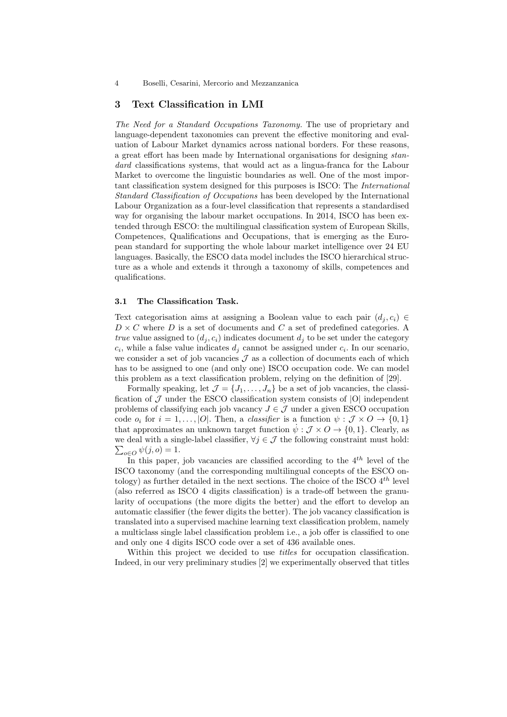4 Boselli, Cesarini, Mercorio and Mezzanzanica

## 3 Text Classification in LMI

The Need for a Standard Occupations Taxonomy. The use of proprietary and language-dependent taxonomies can prevent the effective monitoring and evaluation of Labour Market dynamics across national borders. For these reasons, a great effort has been made by International organisations for designing standard classifications systems, that would act as a lingua-franca for the Labour Market to overcome the linguistic boundaries as well. One of the most important classification system designed for this purposes is ISCO: The International Standard Classification of Occupations has been developed by the International Labour Organization as a four-level classification that represents a standardised way for organising the labour market occupations. In 2014, ISCO has been extended through ESCO: the multilingual classification system of European Skills, Competences, Qualifications and Occupations, that is emerging as the European standard for supporting the whole labour market intelligence over 24 EU languages. Basically, the ESCO data model includes the ISCO hierarchical structure as a whole and extends it through a taxonomy of skills, competences and qualifications.

## 3.1 The Classification Task.

Text categorisation aims at assigning a Boolean value to each pair  $(d_i, c_i) \in$  $D \times C$  where D is a set of documents and C a set of predefined categories. A true value assigned to  $(d_i, c_i)$  indicates document  $d_i$  to be set under the category  $c_i$ , while a false value indicates  $d_j$  cannot be assigned under  $c_i$ . In our scenario, we consider a set of job vacancies  $\mathcal J$  as a collection of documents each of which has to be assigned to one (and only one) ISCO occupation code. We can model this problem as a text classification problem, relying on the definition of [29].

Formally speaking, let  $\mathcal{J} = \{J_1, \ldots, J_n\}$  be a set of job vacancies, the classification of  $\mathcal J$  under the ESCO classification system consists of  $|0|$  independent problems of classifying each job vacancy  $J \in \mathcal{J}$  under a given ESCO occupation code  $o_i$  for  $i = 1, ..., |O|$ . Then, a *classifier* is a function  $\psi : \mathcal{J} \times O \rightarrow \{0, 1\}$ that approximates an unknown target function  $\dot{\psi}: \mathcal{J} \times O \to \{0, 1\}$ . Clearly, as we deal with a single-label classifier,  $\forall j \in \mathcal{J}$  the following constraint must hold:  $\sum_{o\in O}\psi(j,o)=1.$ 

In this paper, job vacancies are classified according to the  $4^{th}$  level of the ISCO taxonomy (and the corresponding multilingual concepts of the ESCO ontology) as further detailed in the next sections. The choice of the ISCO  $4^{th}$  level (also referred as ISCO 4 digits classification) is a trade-off between the granularity of occupations (the more digits the better) and the effort to develop an automatic classifier (the fewer digits the better). The job vacancy classification is translated into a supervised machine learning text classification problem, namely a multiclass single label classification problem i.e., a job offer is classified to one and only one 4 digits ISCO code over a set of 436 available ones.

Within this project we decided to use *titles* for occupation classification. Indeed, in our very preliminary studies [2] we experimentally observed that titles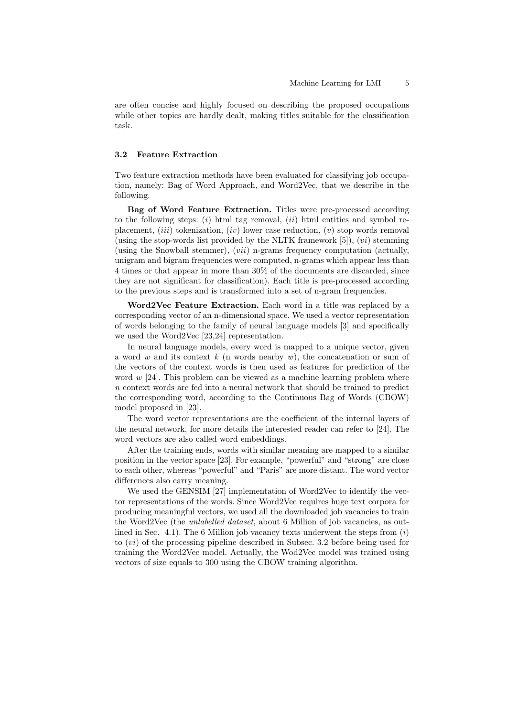are often concise and highly focused on describing the proposed occupations while other topics are hardly dealt, making titles suitable for the classification task.

#### 3.2 Feature Extraction

Two feature extraction methods have been evaluated for classifying job occupation, namely: Bag of Word Approach, and Word2Vec, that we describe in the following.

Bag of Word Feature Extraction. Titles were pre-processed according to the following steps:  $(i)$  html tag removal,  $(ii)$  html entities and symbol replacement,  $(iii)$  tokenization,  $(iv)$  lower case reduction,  $(v)$  stop words removal (using the stop-words list provided by the NLTK framework  $(5)$ ),  $(vi)$  stemming (using the Snowball stemmer),  $(vii)$  n-grams frequency computation (actually, unigram and bigram frequencies were computed, n-grams which appear less than 4 times or that appear in more than 30% of the documents are discarded, since they are not significant for classification). Each title is pre-processed according to the previous steps and is transformed into a set of n-gram frequencies.

Word2Vec Feature Extraction. Each word in a title was replaced by a corresponding vector of an n-dimensional space. We used a vector representation of words belonging to the family of neural language models [3] and specifically we used the Word2Vec [23,24] representation.

In neural language models, every word is mapped to a unique vector, given a word w and its context k (n words nearby w), the concatenation or sum of the vectors of the context words is then used as features for prediction of the word  $w$  [24]. This problem can be viewed as a machine learning problem where n context words are fed into a neural network that should be trained to predict the corresponding word, according to the Continuous Bag of Words (CBOW) model proposed in [23].

The word vector representations are the coefficient of the internal layers of the neural network, for more details the interested reader can refer to [24]. The word vectors are also called word embeddings.

After the training ends, words with similar meaning are mapped to a similar position in the vector space [23]. For example, "powerful" and "strong" are close to each other, whereas "powerful" and "Paris" are more distant. The word vector differences also carry meaning.

We used the GENSIM [27] implementation of Word2Vec to identify the vector representations of the words. Since Word2Vec requires huge text corpora for producing meaningful vectors, we used all the downloaded job vacancies to train the Word2Vec (the *unlabelled dataset*, about 6 Million of job vacancies, as outlined in Sec. 4.1). The 6 Million job vacancy texts underwent the steps from  $(i)$ to  $(vi)$  of the processing pipeline described in Subsec. 3.2 before being used for training the Word2Vec model. Actually, the Wod2Vec model was trained using vectors of size equals to 300 using the CBOW training algorithm.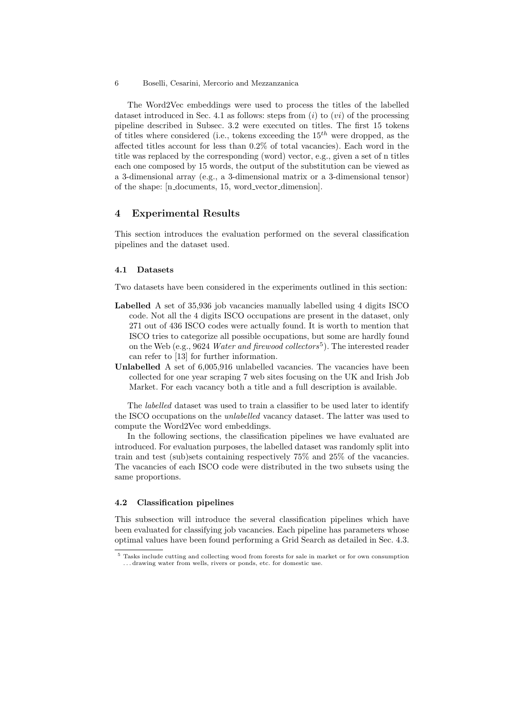The Word2Vec embeddings were used to process the titles of the labelled dataset introduced in Sec. 4.1 as follows: steps from  $(i)$  to  $(vi)$  of the processing pipeline described in Subsec. 3.2 were executed on titles. The first 15 tokens of titles where considered (i.e., tokens exceeding the  $15^{th}$  were dropped, as the affected titles account for less than 0.2% of total vacancies). Each word in the title was replaced by the corresponding (word) vector, e.g., given a set of n titles each one composed by 15 words, the output of the substitution can be viewed as a 3-dimensional array (e.g., a 3-dimensional matrix or a 3-dimensional tensor) of the shape:  $[n\_documents, 15, word\_vector\_dimension].$ 

## 4 Experimental Results

This section introduces the evaluation performed on the several classification pipelines and the dataset used.

#### 4.1 Datasets

Two datasets have been considered in the experiments outlined in this section:

- Labelled A set of 35,936 job vacancies manually labelled using 4 digits ISCO code. Not all the 4 digits ISCO occupations are present in the dataset, only 271 out of 436 ISCO codes were actually found. It is worth to mention that ISCO tries to categorize all possible occupations, but some are hardly found on the Web (e.g., 9624 *Water and firewood collectors*<sup>5</sup>). The interested reader can refer to [13] for further information.
- Unlabelled A set of 6,005,916 unlabelled vacancies. The vacancies have been collected for one year scraping 7 web sites focusing on the UK and Irish Job Market. For each vacancy both a title and a full description is available.

The labelled dataset was used to train a classifier to be used later to identify the ISCO occupations on the unlabelled vacancy dataset. The latter was used to compute the Word2Vec word embeddings.

In the following sections, the classification pipelines we have evaluated are introduced. For evaluation purposes, the labelled dataset was randomly split into train and test (sub)sets containing respectively 75% and 25% of the vacancies. The vacancies of each ISCO code were distributed in the two subsets using the same proportions.

#### 4.2 Classification pipelines

This subsection will introduce the several classification pipelines which have been evaluated for classifying job vacancies. Each pipeline has parameters whose optimal values have been found performing a Grid Search as detailed in Sec. 4.3.

<sup>6</sup> Boselli, Cesarini, Mercorio and Mezzanzanica

 $5$  Tasks include cutting and collecting wood from forests for sale in market or for own consumption . . . drawing water from wells, rivers or ponds, etc. for domestic use.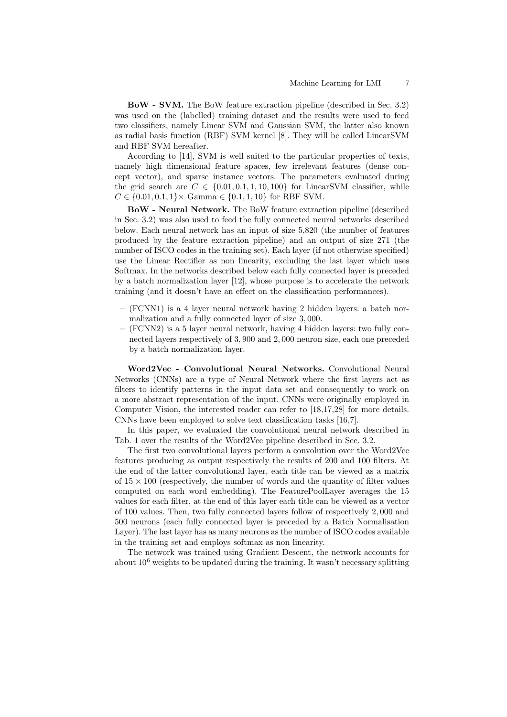BoW - SVM. The BoW feature extraction pipeline (described in Sec. 3.2) was used on the (labelled) training dataset and the results were used to feed two classifiers, namely Linear SVM and Gaussian SVM, the latter also known as radial basis function (RBF) SVM kernel [8]. They will be called LinearSVM and RBF SVM hereafter.

According to [14], SVM is well suited to the particular properties of texts, namely high dimensional feature spaces, few irrelevant features (dense concept vector), and sparse instance vectors. The parameters evaluated during the grid search are  $C \in \{0.01, 0.1, 1, 10, 100\}$  for LinearSVM classifier, while  $C \in \{0.01, 0.1, 1\} \times \text{Gamma} \in \{0.1, 1, 10\}$  for RBF SVM.

BoW - Neural Network. The BoW feature extraction pipeline (described in Sec. 3.2) was also used to feed the fully connected neural networks described below. Each neural network has an input of size 5,820 (the number of features produced by the feature extraction pipeline) and an output of size 271 (the number of ISCO codes in the training set). Each layer (if not otherwise specified) use the Linear Rectifier as non linearity, excluding the last layer which uses Softmax. In the networks described below each fully connected layer is preceded by a batch normalization layer [12], whose purpose is to accelerate the network training (and it doesn't have an effect on the classification performances).

- $-$  (FCNN1) is a 4 layer neural network having 2 hidden layers: a batch normalization and a fully connected layer of size 3, 000.
- (FCNN2) is a 5 layer neural network, having 4 hidden layers: two fully connected layers respectively of 3, 900 and 2, 000 neuron size, each one preceded by a batch normalization layer.

Word2Vec - Convolutional Neural Networks. Convolutional Neural Networks (CNNs) are a type of Neural Network where the first layers act as filters to identify patterns in the input data set and consequently to work on a more abstract representation of the input. CNNs were originally employed in Computer Vision, the interested reader can refer to [18,17,28] for more details. CNNs have been employed to solve text classification tasks [16,7].

In this paper, we evaluated the convolutional neural network described in Tab. 1 over the results of the Word2Vec pipeline described in Sec. 3.2.

The first two convolutional layers perform a convolution over the Word2Vec features producing as output respectively the results of 200 and 100 filters. At the end of the latter convolutional layer, each title can be viewed as a matrix of  $15 \times 100$  (respectively, the number of words and the quantity of filter values computed on each word embedding). The FeaturePoolLayer averages the 15 values for each filter, at the end of this layer each title can be viewed as a vector of 100 values. Then, two fully connected layers follow of respectively 2, 000 and 500 neurons (each fully connected layer is preceded by a Batch Normalisation Layer). The last layer has as many neurons as the number of ISCO codes available in the training set and employs softmax as non linearity.

The network was trained using Gradient Descent, the network accounts for about 10<sup>6</sup> weights to be updated during the training. It wasn't necessary splitting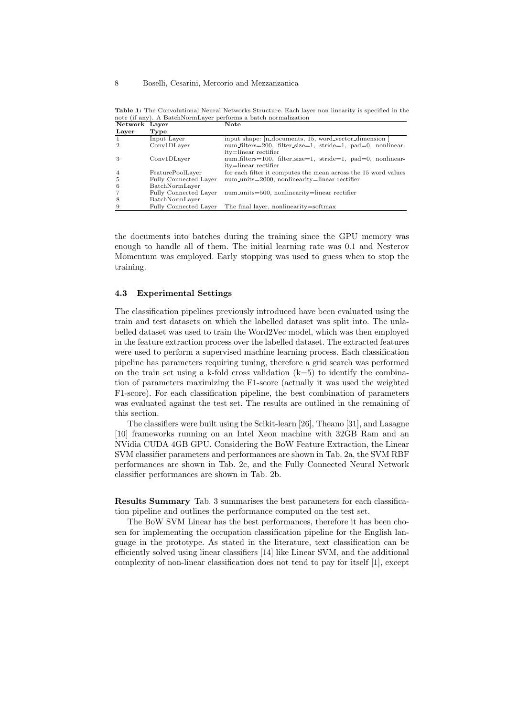| Network Layer  |                       | <b>Note</b>                                                    |
|----------------|-----------------------|----------------------------------------------------------------|
| Layer          | Type                  |                                                                |
|                | Input Layer           | input shape: [n_documents, 15, word_vector_dimension]          |
|                | Conv1DLayer           | num_filters=200, filter_size=1, stride=1, pad=0, nonlinear-    |
|                |                       | ity=linear rectifier                                           |
| 3              | Conv1DLayer           | num_filters=100, filter_size=1, stride=1, $pad=0$ , nonlinear- |
|                |                       | ity=linear rectifier                                           |
| $\overline{4}$ | FeaturePoolLayer      | for each filter it computes the mean across the 15 word values |
| -5             | Fully Connected Layer | num_units=2000, nonlinearity=linear rectifier                  |
| 6              | BatchNormLayer        |                                                                |
|                | Fully Connected Layer | $num\_units = 500$ , nonlinearity=linear rectifier             |
| 8              | BatchNormLayer        |                                                                |
| 9              | Fully Connected Layer | The final layer, nonlinearity=softmax                          |

Table 1: The Convolutional Neural Networks Structure. Each layer non linearity is specified in the note (if any). A BatchNormLayer performs a batch normalization

the documents into batches during the training since the GPU memory was enough to handle all of them. The initial learning rate was 0.1 and Nesterov Momentum was employed. Early stopping was used to guess when to stop the training.

#### 4.3 Experimental Settings

The classification pipelines previously introduced have been evaluated using the train and test datasets on which the labelled dataset was split into. The unlabelled dataset was used to train the Word2Vec model, which was then employed in the feature extraction process over the labelled dataset. The extracted features were used to perform a supervised machine learning process. Each classification pipeline has parameters requiring tuning, therefore a grid search was performed on the train set using a k-fold cross validation  $(k=5)$  to identify the combination of parameters maximizing the F1-score (actually it was used the weighted F1-score). For each classification pipeline, the best combination of parameters was evaluated against the test set. The results are outlined in the remaining of this section.

The classifiers were built using the Scikit-learn [26], Theano [31], and Lasagne [10] frameworks running on an Intel Xeon machine with 32GB Ram and an NVidia CUDA 4GB GPU. Considering the BoW Feature Extraction, the Linear SVM classifier parameters and performances are shown in Tab. 2a, the SVM RBF performances are shown in Tab. 2c, and the Fully Connected Neural Network classifier performances are shown in Tab. 2b.

Results Summary Tab. 3 summarises the best parameters for each classification pipeline and outlines the performance computed on the test set.

The BoW SVM Linear has the best performances, therefore it has been chosen for implementing the occupation classification pipeline for the English language in the prototype. As stated in the literature, text classification can be efficiently solved using linear classifiers [14] like Linear SVM, and the additional complexity of non-linear classification does not tend to pay for itself [1], except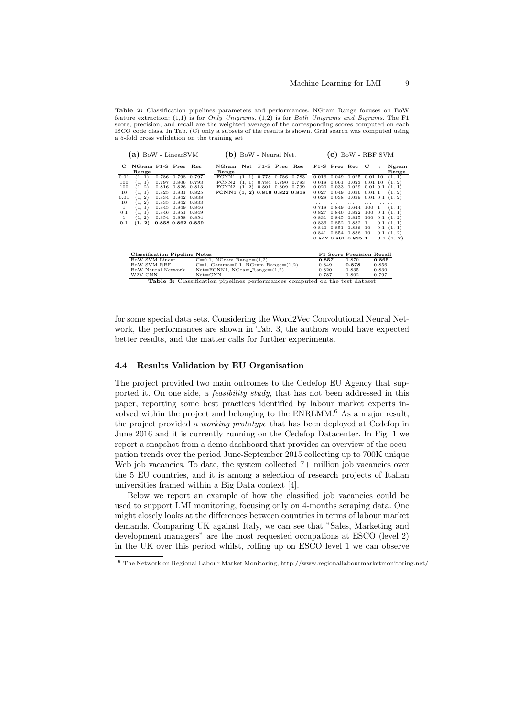**Table 2:** Classification pipelines parameters and performances. NGram Range focuses on BoW feature extraction: (1,1) is for *Only Unigrams*, (1,2) is for *Both Unigrams and Bigrams*. The F1 score, precision, and recall are the weighted average of the corresponding scores computed on each ISCO code class. In Tab. (C) only a subsets of the results is shown. Grid search was computed using a 5-fold cross validation on the training set

| $(a)$ BoW - LinearSVM                            |                 |       | $(b)$ BoW - Neural Net. |                                         |                                       |                           |       | $(c)$ BoW - RBF SVM |       |       |               |                     |              |          |           |
|--------------------------------------------------|-----------------|-------|-------------------------|-----------------------------------------|---------------------------------------|---------------------------|-------|---------------------|-------|-------|---------------|---------------------|--------------|----------|-----------|
| $\mathbf C$                                      | NGram F1-S Prec |       |                         | Rec                                     | NGram                                 | Net                       |       | F1-S Prec Rec       |       |       | F1-S Prec Rec |                     | C            | $\gamma$ | Ngram     |
|                                                  | Range           |       |                         |                                         | Range                                 |                           |       |                     |       |       |               |                     |              |          | Range     |
| 0.01                                             | (1, 1)          | 0.786 |                         | 0.798 0.797                             | FCNN1                                 | (1, 1)                    |       | 0.778 0.786 0.783   |       | 0.016 | 0.049         | 0.025               | 0.0110       |          | (1, 1)    |
| 100                                              | (1, 1)          | 0.797 | 0.806 0.793             |                                         | FCNN2                                 | (1, 1)                    |       | 0.784 0.790         | 0.783 | 0.018 | 0.061         | 0.023               | $0.01$ 10    |          | (1, 2)    |
| 100                                              | (1, 2)          | 0.816 | $0.826$ $0.813$         |                                         | FCNN2                                 | (1, 2)                    |       | $0.801$ $0.809$     | 0.799 | 0.020 | 0.033         | 0.029               | $0.01$ $0.1$ |          | (1, 1)    |
| 10                                               | (1, 1)          | 0.825 | 0.831 0.825             |                                         | FCNN1 (1, 2) 0.816 0.822 0.818        |                           |       |                     |       | 0.027 | 0.049         | 0.036               | 0.011        |          | (1, 2)    |
| 0.01                                             | (1, 2)          |       | 0.834 0.842 0.838       |                                         |                                       |                           |       |                     |       | 0.028 | 0.038         | 0.039               | $0.01\;0.1$  |          | (1, 2)    |
| 10                                               | (1, 2)          | 0.835 |                         | 0.842 0.833                             |                                       |                           |       |                     |       |       |               |                     |              |          |           |
| 1                                                | (1, 1)          | 0.845 |                         | 0.849 0.846                             |                                       |                           |       |                     |       | 0.718 | 0.849         | 0.644               | 100          | 1        | (1, 1)    |
| 0.1                                              | (1, 1)          | 0.846 | 0.851 0.849             |                                         |                                       |                           |       |                     |       | 0.827 | 0.840         | 0.822               | 100          | 0.1      | (1, 1)    |
| 1                                                | (1, 2)          |       | 0.854 0.858 0.854       |                                         |                                       |                           |       |                     |       | 0.831 | 0.845         | 0.825               | 100          | 0.1      | (1, 2)    |
| 0.1                                              | (1, 2)          |       |                         | 0.858 0.862 0.859                       |                                       |                           |       |                     |       | 0.836 |               | 0.852 0.832         | $\mathbf{1}$ | 0.1      | (1, 1)    |
|                                                  |                 |       |                         |                                         |                                       |                           |       |                     |       | 0.840 |               | 0.851 0.836         | -10          |          | 0.1(1, 1) |
|                                                  |                 |       |                         |                                         |                                       |                           |       |                     |       |       |               | 0.841 0.854 0.836   | 10           |          | 0.1(1, 2) |
|                                                  |                 |       |                         |                                         |                                       |                           |       |                     |       |       |               | 0.842 0.861 0.835 1 |              |          | 0.1(1, 2) |
|                                                  |                 |       |                         |                                         |                                       |                           |       |                     |       |       |               |                     |              |          |           |
| <b>Classification Pipeline Notes</b>             |                 |       |                         |                                         |                                       | F1 Score Precision Recall |       |                     |       |       |               |                     |              |          |           |
| BoW SVM Linear<br>$C=0.1$ , NGram_Range= $(1,2)$ |                 |       |                         |                                         |                                       |                           |       |                     | 0.857 |       | 0.870         |                     | 0.865        |          |           |
| BoW SVM RBF                                      |                 |       |                         | $C=1$ , Gamma=0.1, NGram_Range= $(1,2)$ |                                       |                           | 0.849 |                     | 0.878 |       | 0.856         |                     |              |          |           |
| BoW Neural Network                               |                 |       |                         |                                         | $Net = FCNN1$ , $NGram_Range = (1,2)$ |                           |       | 0.820               |       | 0.835 |               | 0.830               |              |          |           |
|                                                  | W2V CNN         |       |                         |                                         | $Net = CNN$                           |                           |       |                     |       | 0.787 |               | 0.802               |              | 0.797    |           |

Table 3: Classification pipelines performances computed on the test dataset

for some special data sets. Considering the Word2Vec Convolutional Neural Network, the performances are shown in Tab. 3, the authors would have expected better results, and the matter calls for further experiments.

#### 4.4 Results Validation by EU Organisation

The project provided two main outcomes to the Cedefop EU Agency that supported it. On one side, a *feasibility study*, that has not been addressed in this paper, reporting some best practices identified by labour market experts involved within the project and belonging to the  $ENRLMM<sup>6</sup>$  As a major result, the project provided a working prototype that has been deployed at Cedefop in June 2016 and it is currently running on the Cedefop Datacenter. In Fig. 1 we report a snapshot from a demo dashboard that provides an overview of the occupation trends over the period June-September 2015 collecting up to 700K unique Web job vacancies. To date, the system collected  $7+$  million job vacancies over the 5 EU countries, and it is among a selection of research projects of Italian universities framed within a Big Data context [4].

Below we report an example of how the classified job vacancies could be used to support LMI monitoring, focusing only on 4-months scraping data. One might closely looks at the differences between countries in terms of labour market demands. Comparing UK against Italy, we can see that "Sales, Marketing and development managers" are the most requested occupations at ESCO (level 2) in the UK over this period whilst, rolling up on ESCO level 1 we can observe

 $^6\,$  The Network on Regional Labour Market Monitoring, http://www.regionallabourmarketmonitoring.net/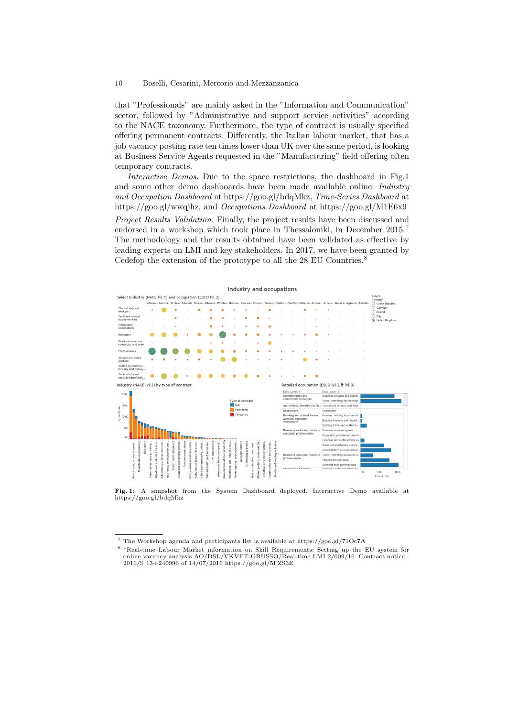#### 10 Boselli, Cesarini, Mercorio and Mezzanzanica

that "Professionals" are mainly asked in the "Information and Communication" sector, followed by "Administrative and support service activities" according to the NACE taxonomy. Furthermore, the type of contract is usually specified offering permanent contracts. Differently, the Italian labour market, that has a job vacancy posting rate ten times lower than UK over the same period, is looking at Business Service Agents requested in the "Manufacturing" field offering often temporary contracts.

Interactive Demos. Due to the space restrictions, the dashboard in Fig.1 and some other demo dashboards have been made available online: *Industry* and Occupation Dashboard at https://goo.gl/bdqMkz, Time-Series Dashboard at https://goo.gl/wwqjhz, and Occupations Dashboard at https://goo.gl/M1E6x9 Project Results Validation. Finally, the project results have been discussed and endorsed in a workshop which took place in Thessaloniki, in December 2015.<sup>7</sup> The methodology and the results obtained have been validated as effective by leading experts on LMI and key stakeholders. In 2017, we have been granted by Cedefop the extension of the prototype to all the 28 EU Countries.<sup>8</sup>



Fig. 1: A snapshot from the System Dashboard deployed. Interactive Demo available at https://goo.gl/bdqMkz

<sup>7</sup> The Workshop agenda and participants list is available at https://goo.gl/71Oc7A

<sup>8</sup> "Real-time Labour Market information on Skill Requirements: Setting up the EU system for online vacancy analysis AO/DSL/VKVET-GRUSSO/Real-time LMI 2/009/16. Contract notice - 2016/S 134-240996 of 14/07/2016 https://goo.gl/5FZS3E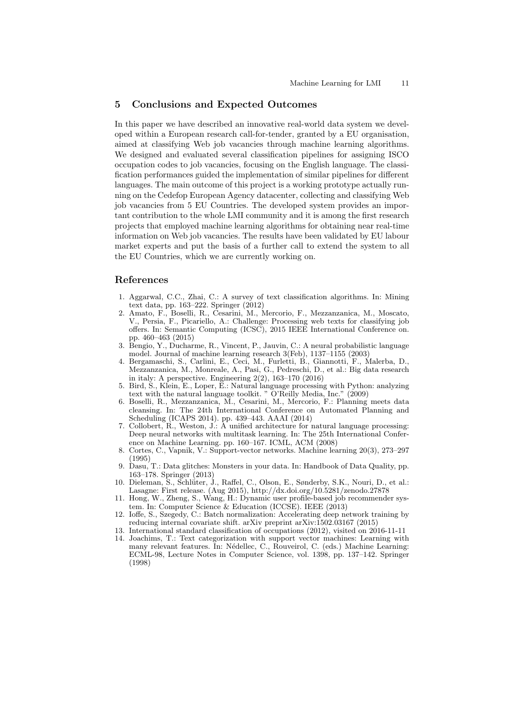#### 5 Conclusions and Expected Outcomes

In this paper we have described an innovative real-world data system we developed within a European research call-for-tender, granted by a EU organisation, aimed at classifying Web job vacancies through machine learning algorithms. We designed and evaluated several classification pipelines for assigning ISCO occupation codes to job vacancies, focusing on the English language. The classification performances guided the implementation of similar pipelines for different languages. The main outcome of this project is a working prototype actually running on the Cedefop European Agency datacenter, collecting and classifying Web job vacancies from 5 EU Countries. The developed system provides an important contribution to the whole LMI community and it is among the first research projects that employed machine learning algorithms for obtaining near real-time information on Web job vacancies. The results have been validated by EU labour market experts and put the basis of a further call to extend the system to all the EU Countries, which we are currently working on.

### References

- 1. Aggarwal, C.C., Zhai, C.: A survey of text classification algorithms. In: Mining text data, pp. 163–222. Springer (2012)
- 2. Amato, F., Boselli, R., Cesarini, M., Mercorio, F., Mezzanzanica, M., Moscato, V., Persia, F., Picariello, A.: Challenge: Processing web texts for classifying job offers. In: Semantic Computing (ICSC), 2015 IEEE International Conference on. pp. 460–463 (2015)
- 3. Bengio, Y., Ducharme, R., Vincent, P., Jauvin, C.: A neural probabilistic language model. Journal of machine learning research 3(Feb), 1137–1155 (2003)
- 4. Bergamaschi, S., Carlini, E., Ceci, M., Furletti, B., Giannotti, F., Malerba, D., Mezzanzanica, M., Monreale, A., Pasi, G., Pedreschi, D., et al.: Big data research in italy: A perspective. Engineering  $2(2)$ ,  $163-170$   $(2016)$
- 5. Bird, S., Klein, E., Loper, E.: Natural language processing with Python: analyzing text with the natural language toolkit. " O'Reilly Media, Inc." (2009)
- 6. Boselli, R., Mezzanzanica, M., Cesarini, M., Mercorio, F.: Planning meets data cleansing. In: The 24th International Conference on Automated Planning and Scheduling (ICAPS 2014). pp. 439–443. AAAI (2014)
- 7. Collobert, R., Weston, J.: A unified architecture for natural language processing: Deep neural networks with multitask learning. In: The 25th International Conference on Machine Learning. pp. 160–167. ICML, ACM (2008)
- 8. Cortes, C., Vapnik, V.: Support-vector networks. Machine learning 20(3), 273–297  $(1995)$
- Dasu, T.: Data glitches: Monsters in your data. In: Handbook of Data Quality, pp. 163–178. Springer (2013)
- 10. Dieleman, S., Schlüter, J., Raffel, C., Olson, E., Sønderby, S.K., Nouri, D., et al.: Lasagne: First release. (Aug 2015), http://dx.doi.org/10.5281/zenodo.27878
- 11. Hong, W., Zheng, S., Wang, H.: Dynamic user profile-based job recommender system. In: Computer Science & Education (ICCSE). IEEE (2013)
- 12. Ioffe, S., Szegedy, C.: Batch normalization: Accelerating deep network training by reducing internal covariate shift. arXiv preprint arXiv:1502.03167 (2015)
- 13. International standard classification of occupations (2012), visited on 2016-11-11
- 14. Joachims, T.: Text categorization with support vector machines: Learning with many relevant features. In: Nédellec, C., Rouveirol, C. (eds.) Machine Learning: ECML-98, Lecture Notes in Computer Science, vol. 1398, pp. 137–142. Springer (1998)